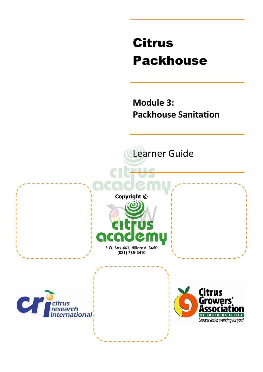# Citrus Packhouse

**Module 3: Packhouse Sanitation** 

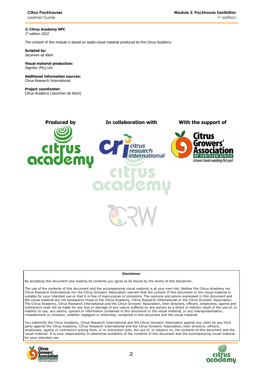**© Citrus Academy NPC**  1 st edition 2022

The content of this module is based on audio-visual material produced by the Citrus Academy.

**Scripted by:**  Jacomien de Klerk

#### **Visual material production:**  Sagritex (Pty) Ltd

**Additional information sources:**  Citrus Research International

**Project coordinator:** Citrus Academy (Jacomien de Klerk)



#### **Disclaimer**

By accepting this document and reading its contents you agree to be bound by the terms of this disclaimer.

The use of the contents of this document and the accompanying visual material is at your own risk. Neither the Citrus Academy nor Citrus Research International nor the Citrus Growers' Association warrant that the content of this document or the visual material is suitable for your intended use or that it is free of inaccuracies or omissions. The opinions and advice expressed in this document and the visual material are not necessarily those of the Citrus Academy, Citrus Research International or the Citrus Growers' Association. The Citrus Academy, Citrus Research International and the Citrus Growers' Association, their directors, officers, employees, agents and contractors shall not be liable for any loss or damage of any nature suffered by any person as a direct or indirect result of the use of, or inability to use, any advice, opinion or information contained in this document or the visual material, or any misrepresentation, misstatement or omission, whether negligent or otherwise, contained in this document and the visual material.

You indemnify the Citrus Academy, Citrus Research International and the Citrus Growers' Association against any claim by any third party against the Citrus Academy, Citrus Research International and the Citrus Growers' Association, their directors, officers, employees, agents or contractors arising from, or in connection with, the use of, or reliance on, the contents of this document and the visual material. It is your responsibility to determine suitability of the contents of this document and the accompanying visual material for your intended use.



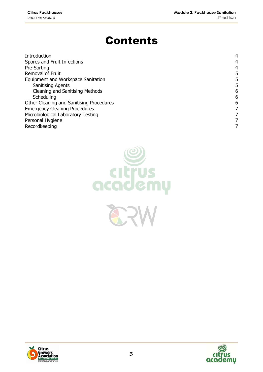# Contents

| Introduction                             |   |
|------------------------------------------|---|
| Spores and Fruit Infections              | 4 |
| Pre-Sorting                              | 4 |
| Removal of Fruit                         | 5 |
| Equipment and Workspace Sanitation       | 5 |
| <b>Sanitising Agents</b>                 | 5 |
| <b>Cleaning and Sanitising Methods</b>   | 6 |
| Scheduling                               | 6 |
| Other Cleaning and Sanitising Procedures | 6 |
| <b>Emergency Cleaning Procedures</b>     |   |
| Microbiological Laboratory Testing       |   |
| Personal Hygiene                         |   |
| Recordkeeping                            |   |





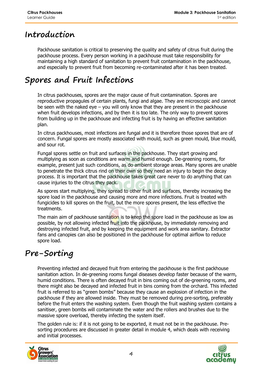### **Introduction**

Packhouse sanitation is critical to preserving the quality and safety of citrus fruit during the packhouse process. Every person working in a packhouse must take responsibility for maintaining a high standard of sanitation to prevent fruit contamination in the packhouse, and especially to prevent fruit from becoming re-contaminated after it has been treated.

# **Spores and Fruit Infections**

In citrus packhouses, spores are the major cause of fruit contamination. Spores are reproductive propagules of certain plants, fungi and algae. They are microscopic and cannot be seen with the naked eye – you will only know that they are present in the packhouse when fruit develops infections, and by then it is too late. The only way to prevent spores from building up in the packhouse and infecting fruit is by having an effective sanitation plan.

In citrus packhouses, most infections are fungal and it is therefore those spores that are of concern. Fungal spores are mostly associated with mould, such as green mould, blue mould, and sour rot.

Fungal spores settle on fruit and surfaces in the packhouse. They start growing and multiplying as soon as conditions are warm and humid enough. De-greening rooms, for example, present just such conditions, as do ambient storage areas. Many spores are unable to penetrate the thick citrus rind on their own so they need an injury to begin the decay process. It is important that the packhouse takes great care never to do anything that can cause injuries to the citrus they pack.

As spores start multiplying, they spread to other fruit and surfaces, thereby increasing the spore load in the packhouse and causing more and more infections. Fruit is treated with fungicides to kill spores on the fruit, but the more spores present, the less effective the treatments.

The main aim of packhouse sanitation is to keep the spore load in the packhouse as low as possible, by not allowing infected fruit into the packhouse, by immediately removing and destroying infected fruit, and by keeping the equipment and work area sanitary. Extractor fans and canopies can also be positioned in the packhouse for optimal airflow to reduce spore load.

# **Pre-Sorting**

Preventing infected and decayed fruit from entering the packhouse is the first packhouse sanitation action. In de-greening rooms fungal diseases develop faster because of the warm, humid conditions. There is often decayed fruit in bins coming out of de-greening rooms, and there might also be decayed and infected fruit in bins coming from the orchard. This infected fruit is referred to as "green bombs" because they cause an explosion of infection in the packhouse if they are allowed inside. They must be removed during pre-sorting, preferably before the fruit enters the washing system. Even though the fruit washing system contains a sanitiser, green bombs will contaminate the water and the rollers and brushes due to the massive spore overload, thereby infecting the system itself.

The golden rule is: if it is not going to be exported, it must not be in the packhouse. Presorting procedures are discussed in greater detail in module 4, which deals with receiving and initial processes.



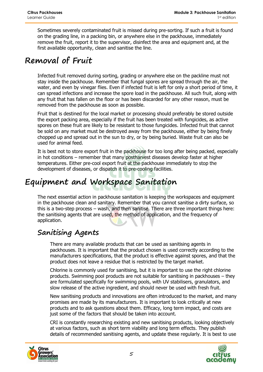Sometimes severely contaminated fruit is missed during pre-sorting. If such a fruit is found on the grading line, in a packing bin, or anywhere else in the packhouse, immediately remove the fruit, report it to the supervisor, disinfect the area and equipment and, at the first available opportunity, clean and sanitise the line.

### **Removal of Fruit**

Infected fruit removed during sorting, grading or anywhere else on the packline must not stay inside the packhouse. Remember that fungal spores are spread through the air, the water, and even by vinegar flies. Even if infected fruit is left for only a short period of time, it can spread infections and increase the spore load in the packhouse. All such fruit, along with any fruit that has fallen on the floor or has been discarded for any other reason, must be removed from the packhouse as soon as possible.

Fruit that is destined for the local market or processing should preferably be stored outside the export packing area, especially if the fruit has been treated with fungicides, as active spores on these fruit are likely to be resistant to those fungicides. Infected fruit that cannot be sold on any market must be destroyed away from the packhouse, either by being finely chopped up and spread out in the sun to dry, or by being buried. Waste fruit can also be used for animal feed.

It is best not to store export fruit in the packhouse for too long after being packed, especially in hot conditions – remember that many postharvest diseases develop faster at higher temperatures. Either pre-cool export fruit at the packhouse immediately to stop the development of diseases, or dispatch it to pre-cooling facilities.

# **Equipment and Workspace Sanitation**

The next essential action in packhouse sanitation is keeping the workspaces and equipment in the packhouse clean and sanitary. Remember that you cannot sanitise a dirty surface, so this is a two-step process – wash, and then sanitise. There are three important things here: the sanitising agents that are used, the method of application, and the frequency of application.

#### **Sanitising Agents**

There are many available products that can be used as sanitising agents in packhouses. It is important that the product chosen is used correctly according to the manufacturers specifications, that the product is effective against spores, and that the product does not leave a residue that is restricted by the target market.

Chlorine is commonly used for sanitising, but it is important to use the right chlorine products. Swimming pool products are not suitable for sanitising in packhouses – they are formulated specifically for swimming pools, with UV stabilisers, granulators, and slow release of the active ingredient, and should never be used with fresh fruit.

New sanitising products and innovations are often introduced to the market, and many promises are made by its manufacturers. It is important to look critically at new products and to ask questions about them. Efficacy, long term impact, and costs are just some of the factors that should be taken into account.

CRI is constantly researching existing and new sanitising products, looking objectively at various factors, such as short term viability and long term effects. They publish details of recommended sanitising agents, and update these regularly. It is best to use



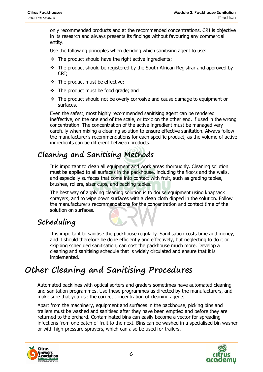only recommended products and at the recommended concentrations. CRI is objective in its research and always presents its findings without favouring any commercial entity.

Use the following principles when deciding which sanitising agent to use:

- $\div$  The product should have the right active ingredients;
- $\div$  The product should be registered by the South African Registrar and approved by CRI;
- The product must be effective;
- $\div$  The product must be food grade; and
- \* The product should not be overly corrosive and cause damage to equipment or surfaces.

Even the safest, most highly recommended sanitising agent can be rendered ineffective, on the one end of the scale, or toxic on the other end, if used in the wrong concentration. The concentration of the active ingredient must be managed very carefully when mixing a cleaning solution to ensure effective sanitation. Always follow the manufacturer's recommendations for each specific product, as the volume of active ingredients can be different between products.

#### **Cleaning and Sanitising Methods**

It is important to clean all equipment and work areas thoroughly. Cleaning solution must be applied to all surfaces in the packhouse, including the floors and the walls, and especially surfaces that come into contact with fruit, such as grading tables, brushes, rollers, sizer cups, and packing tables.

The best way of applying cleaning solution is to douse equipment using knapsack sprayers, and to wipe down surfaces with a clean cloth dipped in the solution. Follow the manufacturer's recommendations for the concentration and contact time of the solution on surfaces.

### **Scheduling**

It is important to sanitise the packhouse regularly. Sanitisation costs time and money, and it should therefore be done efficiently and effectively, but neglecting to do it or skipping scheduled sanitisation, can cost the packhouse much more. Develop a cleaning and sanitising schedule that is widely circulated and ensure that it is implemented.

# **Other Cleaning and Sanitising Procedures**

Automated packlines with optical sorters and graders sometimes have automated cleaning and sanitation programmes. Use these programmes as directed by the manufacturers, and make sure that you use the correct concentration of cleaning agents.

Apart from the machinery, equipment and surfaces in the packhouse, picking bins and trailers must be washed and sanitised after they have been emptied and before they are returned to the orchard. Contaminated bins can easily become a vector for spreading infections from one batch of fruit to the next. Bins can be washed in a specialised bin washer or with high-pressure sprayers, which can also be used for trailers.